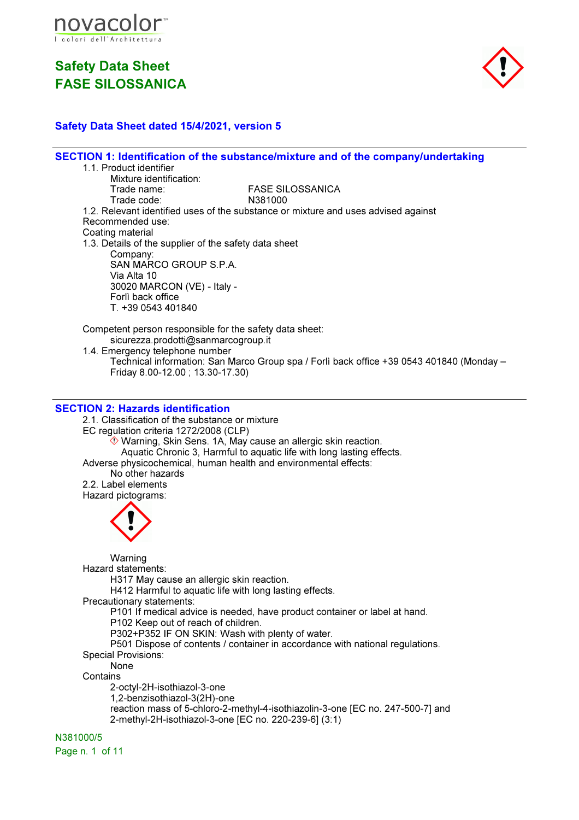



### Safety Data Sheet dated 15/4/2021, version 5

SECTION 1: Identification of the substance/mixture and of the company/undertaking 1.1. Product identifier Mixture identification:<br>Trade name: FASE SILOSSANICA<br>N381000 Trade code: 1.2. Relevant identified uses of the substance or mixture and uses advised against Recommended use: Coating material 1.3. Details of the supplier of the safety data sheet Company: SAN MARCO GROUP S.P.A. Via Alta 10 30020 MARCON (VE) - Italy - Forlì back office T. +39 0543 401840 Competent person responsible for the safety data sheet: sicurezza.prodotti@sanmarcogroup.it 1.4. Emergency telephone number Technical information: San Marco Group spa / Forlì back office +39 0543 401840 (Monday – Friday 8.00-12.00 ; 13.30-17.30)

### SECTION 2: Hazards identification

2.1. Classification of the substance or mixture EC regulation criteria 1272/2008 (CLP)  $\hat{\Diamond}$  Warning, Skin Sens. 1A, May cause an allergic skin reaction. Aquatic Chronic 3, Harmful to aquatic life with long lasting effects. Adverse physicochemical, human health and environmental effects: No other hazards 2.2. Label elements

Hazard pictograms:



**Warning** Hazard statements:

H317 May cause an allergic skin reaction.

H412 Harmful to aquatic life with long lasting effects.

Precautionary statements:

P101 If medical advice is needed, have product container or label at hand.

P102 Keep out of reach of children.

- P302+P352 IF ON SKIN: Wash with plenty of water.
- P501 Dispose of contents / container in accordance with national regulations.

Special Provisions:

None **Contains** 

2-octyl-2H-isothiazol-3-one 1,2-benzisothiazol-3(2H)-one reaction mass of 5-chloro-2-methyl-4-isothiazolin-3-one [EC no. 247-500-7] and 2-methyl-2H-isothiazol-3-one [EC no. 220-239-6] (3:1)

N381000/5

Page n. 1 of 11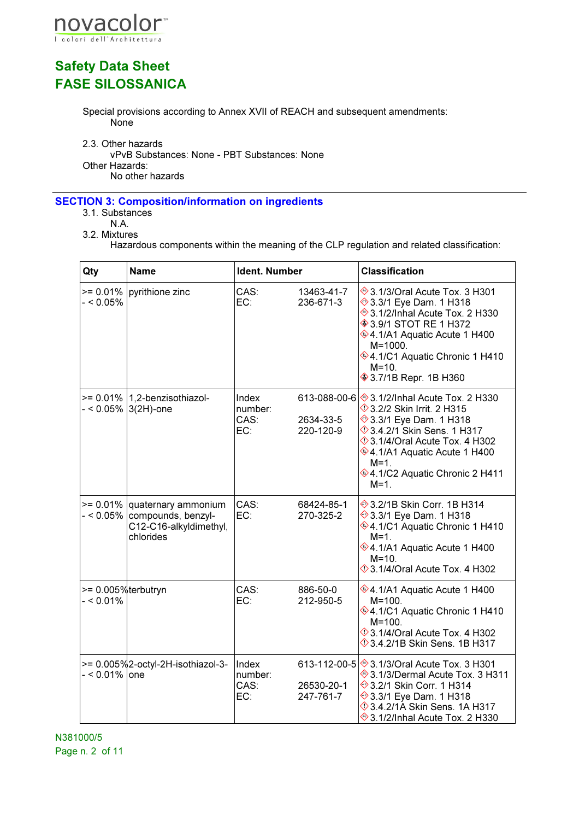

Special provisions according to Annex XVII of REACH and subsequent amendments: None

2.3. Other hazards

vPvB Substances: None - PBT Substances: None Other Hazards:

No other hazards

### SECTION 3: Composition/information on ingredients

- 3.1. Substances
	- N.A.
- 3.2. Mixtures

Hazardous components within the meaning of the CLP regulation and related classification:

| Qty                                   | <b>Name</b>                                                                                            | Ident. Number                   |                                        | <b>Classification</b>                                                                                                                                                                                                                                                        |
|---------------------------------------|--------------------------------------------------------------------------------------------------------|---------------------------------|----------------------------------------|------------------------------------------------------------------------------------------------------------------------------------------------------------------------------------------------------------------------------------------------------------------------------|
| $- < 0.05\%$                          | $>= 0.01\%$ pyrithione zinc                                                                            | CAS:<br>EC:                     | 13463-41-7<br>236-671-3                | → 3.1/3/Oral Acute Tox. 3 H301<br><b>→ 3.3/1 Eye Dam. 1 H318</b><br>→ 3.1/2/Inhal Acute Tox. 2 H330<br><b>♦ 3.9/1 STOT RE 1 H372</b><br><b>VA.1/A1 Aquatic Acute 1 H400</b><br>$M = 1000$ .<br>♦4.1/C1 Aquatic Chronic 1 H410<br>$M = 10.$<br><b>♦ 3.7/1B Repr. 1B H360</b>  |
|                                       | $>= 0.01\%$   1.2-benzisothiazol-<br>$-$ < 0.05% $ 3(2H)$ -one                                         | Index<br>number:<br>CAS:<br>EC: | 613-088-00-6<br>2634-33-5<br>220-120-9 | → 3.1/2/Inhal Acute Tox. 2 H330<br><b>1</b> 3.2/2 Skin Irrit. 2 H315<br>→ 3.3/1 Eye Dam. 1 H318<br>$\Diamond$ 3.4.2/1 Skin Sens. 1 H317<br>$\Diamond$ 3.1/4/Oral Acute Tox. 4 H302<br>♦4.1/A1 Aquatic Acute 1 H400<br>$M=1$ .<br>♦4.1/C2 Aquatic Chronic 2 H411<br>$M = 1$ . |
|                                       | $>= 0.01\%$ quaternary ammonium<br>- < 0.05% compounds, benzyl-<br>C12-C16-alkyldimethyl,<br>chlorides | CAS:<br>EC:                     | 68424-85-1<br>270-325-2                | <b>→ 3.2/1B Skin Corr. 1B H314</b><br>→ 3.3/1 Eye Dam. 1 H318<br>♦4.1/C1 Aquatic Chronic 1 H410<br>$M=1$ .<br>♦4.1/A1 Aquatic Acute 1 H400<br>$M = 10$<br><b>♦ 3.1/4/Oral Acute Tox. 4 H302</b>                                                                              |
| $>= 0.005%$ terbutryn<br>$- < 0.01\%$ |                                                                                                        | CAS:<br>EC:                     | 886-50-0<br>212-950-5                  | $\hat{\otimes}$ 4.1/A1 Aquatic Acute 1 H400<br>$M = 100.$<br>♦4.1/C1 Aquatic Chronic 1 H410<br>$M = 100.$<br><b>123.1/4/Oral Acute Tox. 4 H302</b><br>$\Diamond$ 3.4.2/1B Skin Sens. 1B H317                                                                                 |
| - < 0.01% one                         | >= 0.005%2-octyl-2H-isothiazol-3-                                                                      | Index<br>number:<br>CAS:<br>EC: | 26530-20-1<br>247-761-7                | 613-112-00-5 3.1/3/Oral Acute Tox. 3 H301<br>→ 3.1/3/Dermal Acute Tox. 3 H311<br><b>→ 3.2/1 Skin Corr. 1 H314</b><br><b>→ 3.3/1 Eye Dam. 1 H318</b><br><b>14.2/1A Skin Sens. 1A H317</b><br><b>♦ 3.1/2/Inhal Acute Tox. 2 H330</b>                                           |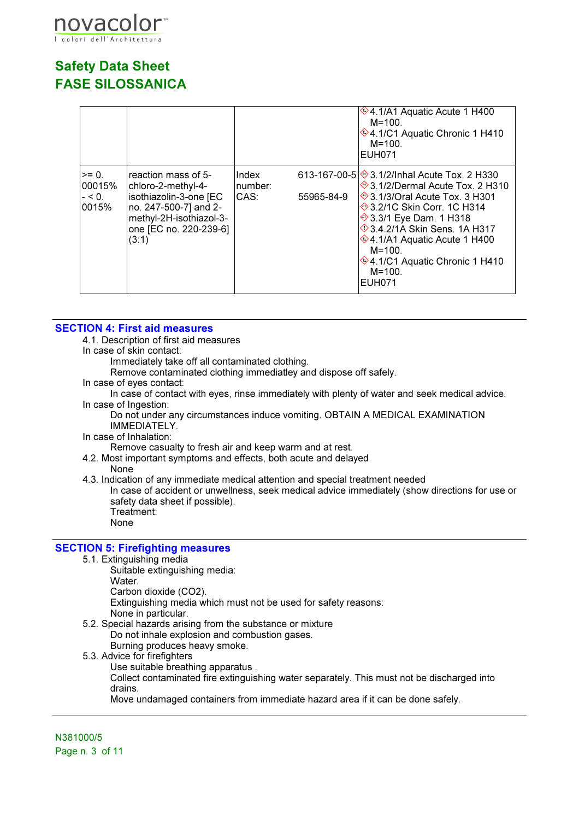

|                                         |                                                                                                                                                            |                          |            | $*$ 4.1/A1 Aquatic Acute 1 H400<br>$M = 100.$<br>♦4.1/C1 Aquatic Chronic 1 H410<br>$M = 100$ .<br><b>EUH071</b>                                                                                                                                                                                                                  |
|-----------------------------------------|------------------------------------------------------------------------------------------------------------------------------------------------------------|--------------------------|------------|----------------------------------------------------------------------------------------------------------------------------------------------------------------------------------------------------------------------------------------------------------------------------------------------------------------------------------|
| $>= 0.$<br>00015%<br>$- < 0$ .<br>0015% | reaction mass of 5-<br>chloro-2-methyl-4-<br>isothiazolin-3-one [EC<br>no. 247-500-7] and 2-<br>methyl-2H-isothiazol-3-<br>one [EC no. 220-239-6]<br>(3:1) | Index<br>number:<br>CAS: | 55965-84-9 | 613-167-00-5 3.1/2/Inhal Acute Tox. 2 H330<br>→ 3.1/2/Dermal Acute Tox. 2 H310<br>→ 3.1/3/Oral Acute Tox. 3 H301<br>→ 3.2/1C Skin Corr. 1C H314<br>→ 3.3/1 Eye Dam. 1 H318<br><b>14.2/1A Skin Sens. 1A H317</b><br>♦4.1/A1 Aquatic Acute 1 H400<br>$M = 100$ .<br>♦4.1/C1 Aquatic Chronic 1 H410<br>$M = 100$ .<br><b>EUH071</b> |

### SECTION 4: First aid measures

4.1. Description of first aid measures

In case of skin contact:

Immediately take off all contaminated clothing.

Remove contaminated clothing immediatley and dispose off safely.

In case of eyes contact:

In case of contact with eyes, rinse immediately with plenty of water and seek medical advice. In case of Ingestion:

Do not under any circumstances induce vomiting. OBTAIN A MEDICAL EXAMINATION IMMEDIATELY.

#### In case of Inhalation:

Remove casualty to fresh air and keep warm and at rest.

4.2. Most important symptoms and effects, both acute and delayed

None

4.3. Indication of any immediate medical attention and special treatment needed

In case of accident or unwellness, seek medical advice immediately (show directions for use or safety data sheet if possible). Treatment:

None

#### SECTION 5: Firefighting measures

- 5.1. Extinguishing media
	- Suitable extinguishing media:
	- Water.
	- Carbon dioxide (CO2).

Extinguishing media which must not be used for safety reasons:

None in particular.

- 5.2. Special hazards arising from the substance or mixture Do not inhale explosion and combustion gases. Burning produces heavy smoke.
- 5.3. Advice for firefighters
	- Use suitable breathing apparatus .

Collect contaminated fire extinguishing water separately. This must not be discharged into drains.

Move undamaged containers from immediate hazard area if it can be done safely.

N381000/5 Page n. 3 of 11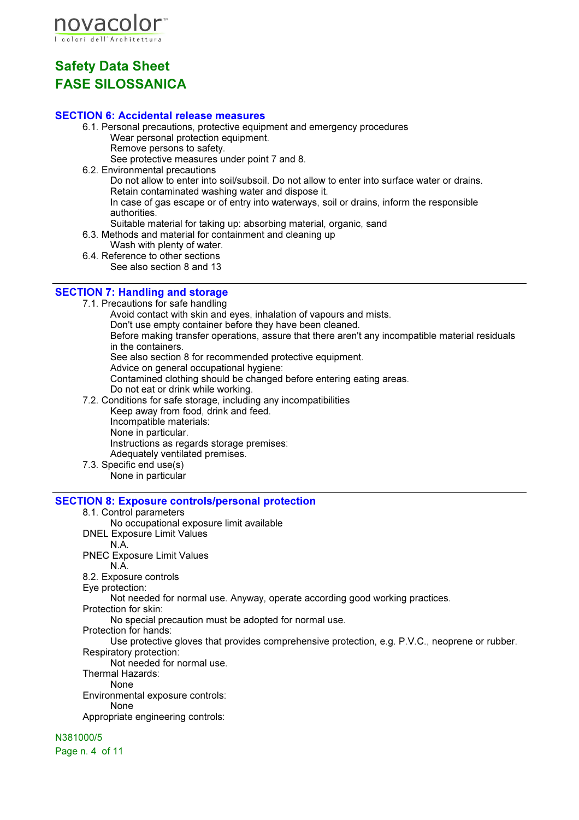

### SECTION 6: Accidental release measures

- 6.1. Personal precautions, protective equipment and emergency procedures Wear personal protection equipment. Remove persons to safety.
	- See protective measures under point 7 and 8.
- 6.2. Environmental precautions

Do not allow to enter into soil/subsoil. Do not allow to enter into surface water or drains. Retain contaminated washing water and dispose it.

In case of gas escape or of entry into waterways, soil or drains, inform the responsible authorities.

- Suitable material for taking up: absorbing material, organic, sand
- 6.3. Methods and material for containment and cleaning up
	- Wash with plenty of water.
- 6.4. Reference to other sections See also section 8 and 13

### SECTION 7: Handling and storage

7.1. Precautions for safe handling

Avoid contact with skin and eyes, inhalation of vapours and mists.

Don't use empty container before they have been cleaned.

Before making transfer operations, assure that there aren't any incompatible material residuals in the containers.

See also section 8 for recommended protective equipment.

Advice on general occupational hygiene:

Contamined clothing should be changed before entering eating areas.

- Do not eat or drink while working.
- 7.2. Conditions for safe storage, including any incompatibilities Keep away from food, drink and feed. Incompatible materials: None in particular. Instructions as regards storage premises: Adequately ventilated premises.
- 7.3. Specific end use(s) None in particular

#### SECTION 8: Exposure controls/personal protection

8.1. Control parameters

No occupational exposure limit available

- DNEL Exposure Limit Values
	- N.A.
- PNEC Exposure Limit Values
	- N.A.

8.2. Exposure controls

Eye protection:

Not needed for normal use. Anyway, operate according good working practices.

Protection for skin:

No special precaution must be adopted for normal use.

Protection for hands:

Use protective gloves that provides comprehensive protection, e.g. P.V.C., neoprene or rubber. Respiratory protection:

Not needed for normal use.

Thermal Hazards:

None

Environmental exposure controls:

None

Appropriate engineering controls:

N381000/5

Page n. 4 of 11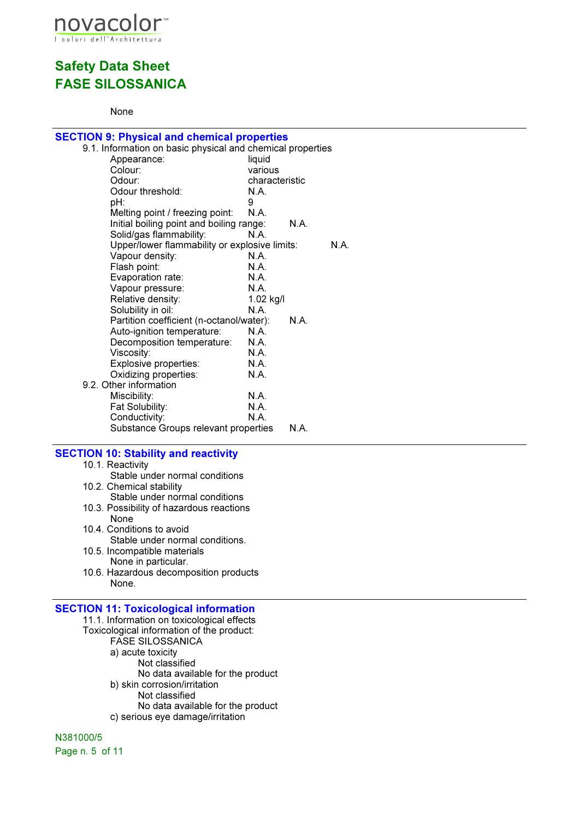

### None

| <b>SECTION 9: Physical and chemical properties</b>                       |                |      |      |
|--------------------------------------------------------------------------|----------------|------|------|
| 9.1. Information on basic physical and chemical properties               |                |      |      |
| Appearance:                                                              | liquid         |      |      |
| Colour:                                                                  | various        |      |      |
| Odour:                                                                   | characteristic |      |      |
| Odour threshold:                                                         | N.A.           |      |      |
| pH:                                                                      | 9              |      |      |
| Melting point / freezing point:                                          | N.A.           |      |      |
| Initial boiling point and boiling range:                                 | N.A.           | N.A. |      |
| Solid/gas flammability:<br>Upper/lower flammability or explosive limits: |                |      | N.A. |
| Vapour density:                                                          | N.A.           |      |      |
| Flash point:                                                             | N.A            |      |      |
| Evaporation rate:                                                        | N.A.           |      |      |
| Vapour pressure:                                                         | <b>N.A.</b>    |      |      |
| Relative density:                                                        | 1.02 kg/l      |      |      |
| Solubility in oil:                                                       | N.A.           |      |      |
| Partition coefficient (n-octanol/water):                                 |                | N.A  |      |
| Auto-ignition temperature:                                               | N.A            |      |      |
| Decomposition temperature:                                               | N.A.           |      |      |
| Viscosity:                                                               | N.A.           |      |      |
| Explosive properties:                                                    | N.A.           |      |      |
| Oxidizing properties:                                                    | N.A.           |      |      |
| 9.2. Other information                                                   |                |      |      |
| Miscibility:                                                             | N.A.           |      |      |
| Fat Solubility:                                                          | N.A.<br>N.A.   |      |      |
| Conductivity:<br>Substance Groups relevant properties                    |                | N.A. |      |
|                                                                          |                |      |      |
| <b>SECTION 10: Stability and reactivity</b>                              |                |      |      |
| 10.1. Reactivity                                                         |                |      |      |
| Stable under normal conditions                                           |                |      |      |
| 10.2. Chemical stability                                                 |                |      |      |
| Stable under normal conditions                                           |                |      |      |
| 10.3. Possibility of hazardous reactions                                 |                |      |      |
| None                                                                     |                |      |      |
| 10.4. Conditions to avoid                                                |                |      |      |
| Stable under normal conditions.                                          |                |      |      |
| 10.5. Incompatible materials                                             |                |      |      |
| None in particular.                                                      |                |      |      |
| 10.6. Hazardous decomposition products<br>None.                          |                |      |      |
|                                                                          |                |      |      |
| <b>SECTION 11: Toxicological information</b>                             |                |      |      |
| 11.1. Information on toxicological effects                               |                |      |      |
| Toxicological information of the product:                                |                |      |      |
| <b>FASE SILOSSANICA</b>                                                  |                |      |      |
| a) acute toxicity                                                        |                |      |      |
| Not classified                                                           |                |      |      |
|                                                                          |                |      |      |

No data available for the product

b) skin corrosion/irritation Not classified

No data available for the product c) serious eye damage/irritation

N381000/5 Page n. 5 of 11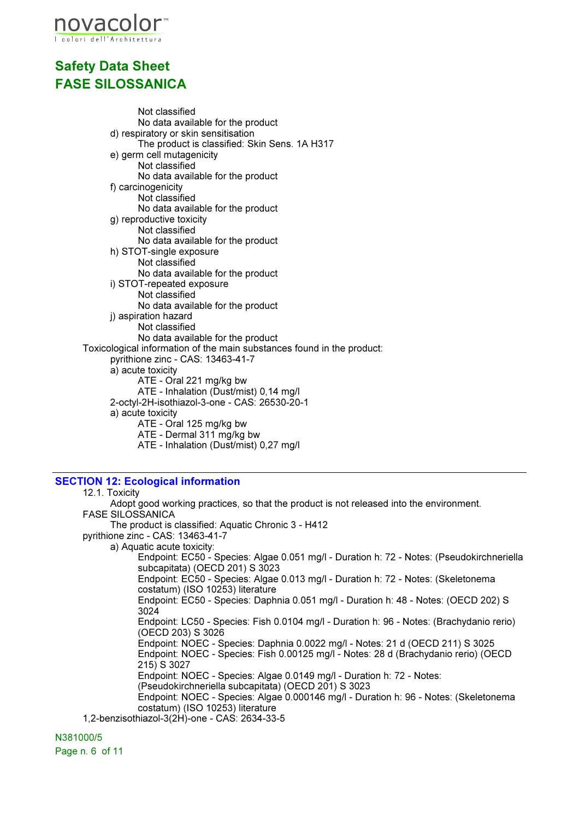

Not classified No data available for the product d) respiratory or skin sensitisation The product is classified: Skin Sens. 1A H317 e) germ cell mutagenicity Not classified No data available for the product f) carcinogenicity Not classified No data available for the product g) reproductive toxicity Not classified No data available for the product h) STOT-single exposure Not classified No data available for the product i) STOT-repeated exposure Not classified No data available for the product j) aspiration hazard Not classified No data available for the product Toxicological information of the main substances found in the product: pyrithione zinc - CAS: 13463-41-7 a) acute toxicity ATE - Oral 221 mg/kg bw ATE - Inhalation (Dust/mist) 0,14 mg/l 2-octyl-2H-isothiazol-3-one - CAS: 26530-20-1 a) acute toxicity ATE - Oral 125 mg/kg bw ATE - Dermal 311 mg/kg bw ATE - Inhalation (Dust/mist) 0,27 mg/l

### SECTION 12: Ecological information

#### 12.1. Toxicity Adopt good working practices, so that the product is not released into the environment. FASE SILOSSANICA The product is classified: Aquatic Chronic 3 - H412 pyrithione zinc - CAS: 13463-41-7 a) Aquatic acute toxicity: Endpoint: EC50 - Species: Algae 0.051 mg/l - Duration h: 72 - Notes: (Pseudokirchneriella subcapitata) (OECD 201) S 3023 Endpoint: EC50 - Species: Algae 0.013 mg/l - Duration h: 72 - Notes: (Skeletonema costatum) (ISO 10253) literature Endpoint: EC50 - Species: Daphnia 0.051 mg/l - Duration h: 48 - Notes: (OECD 202) S 3024 Endpoint: LC50 - Species: Fish 0.0104 mg/l - Duration h: 96 - Notes: (Brachydanio rerio) (OECD 203) S 3026 Endpoint: NOEC - Species: Daphnia 0.0022 mg/l - Notes: 21 d (OECD 211) S 3025 Endpoint: NOEC - Species: Fish 0.00125 mg/l - Notes: 28 d (Brachydanio rerio) (OECD 215) S 3027 Endpoint: NOEC - Species: Algae 0.0149 mg/l - Duration h: 72 - Notes: (Pseudokirchneriella subcapitata) (OECD 201) S 3023 Endpoint: NOEC - Species: Algae 0.000146 mg/l - Duration h: 96 - Notes: (Skeletonema costatum) (ISO 10253) literature 1,2-benzisothiazol-3(2H)-one - CAS: 2634-33-5

N381000/5 Page n. 6 of 11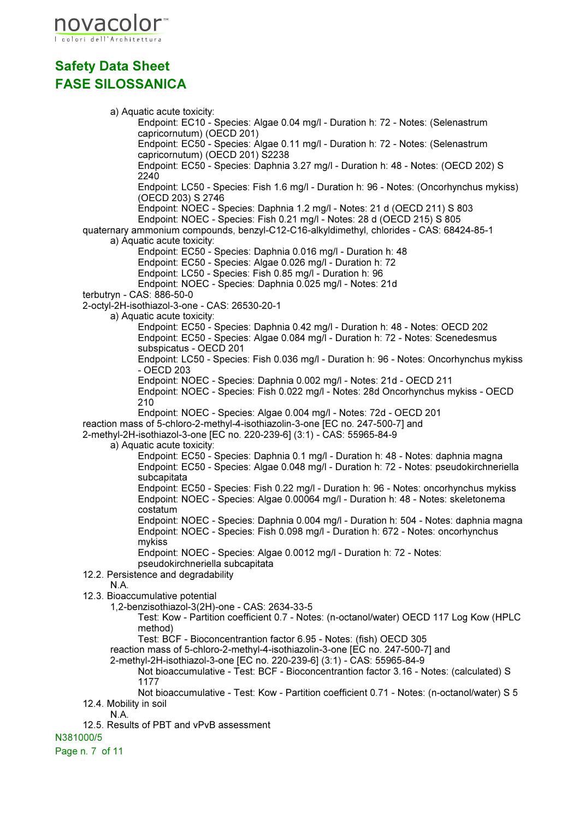

a) Aquatic acute toxicity: Endpoint: EC10 - Species: Algae 0.04 mg/l - Duration h: 72 - Notes: (Selenastrum capricornutum) (OECD 201) Endpoint: EC50 - Species: Algae 0.11 mg/l - Duration h: 72 - Notes: (Selenastrum capricornutum) (OECD 201) S2238 Endpoint: EC50 - Species: Daphnia 3.27 mg/l - Duration h: 48 - Notes: (OECD 202) S 2240 Endpoint: LC50 - Species: Fish 1.6 mg/l - Duration h: 96 - Notes: (Oncorhynchus mykiss) (OECD 203) S 2746 Endpoint: NOEC - Species: Daphnia 1.2 mg/l - Notes: 21 d (OECD 211) S 803 Endpoint: NOEC - Species: Fish 0.21 mg/l - Notes: 28 d (OECD 215) S 805 quaternary ammonium compounds, benzyl-C12-C16-alkyldimethyl, chlorides - CAS: 68424-85-1 a) Aquatic acute toxicity: Endpoint: EC50 - Species: Daphnia 0.016 mg/l - Duration h: 48 Endpoint: EC50 - Species: Algae 0.026 mg/l - Duration h: 72 Endpoint: LC50 - Species: Fish 0.85 mg/l - Duration h: 96 Endpoint: NOEC - Species: Daphnia 0.025 mg/l - Notes: 21d terbutryn - CAS: 886-50-0 2-octyl-2H-isothiazol-3-one - CAS: 26530-20-1 a) Aquatic acute toxicity: Endpoint: EC50 - Species: Daphnia 0.42 mg/l - Duration h: 48 - Notes: OECD 202 Endpoint: EC50 - Species: Algae 0.084 mg/l - Duration h: 72 - Notes: Scenedesmus subspicatus - OECD 201 Endpoint: LC50 - Species: Fish 0.036 mg/l - Duration h: 96 - Notes: Oncorhynchus mykiss - OECD 203 Endpoint: NOEC - Species: Daphnia 0.002 mg/l - Notes: 21d - OECD 211 Endpoint: NOEC - Species: Fish 0.022 mg/l - Notes: 28d Oncorhynchus mykiss - OECD 210 Endpoint: NOEC - Species: Algae 0.004 mg/l - Notes: 72d - OECD 201 reaction mass of 5-chloro-2-methyl-4-isothiazolin-3-one [EC no. 247-500-7] and 2-methyl-2H-isothiazol-3-one [EC no. 220-239-6] (3:1) - CAS: 55965-84-9 a) Aquatic acute toxicity: Endpoint: EC50 - Species: Daphnia 0.1 mg/l - Duration h: 48 - Notes: daphnia magna Endpoint: EC50 - Species: Algae 0.048 mg/l - Duration h: 72 - Notes: pseudokirchneriella subcapitata Endpoint: EC50 - Species: Fish 0.22 mg/l - Duration h: 96 - Notes: oncorhynchus mykiss Endpoint: NOEC - Species: Algae 0.00064 mg/l - Duration h: 48 - Notes: skeletonema costatum Endpoint: NOEC - Species: Daphnia 0.004 mg/l - Duration h: 504 - Notes: daphnia magna Endpoint: NOEC - Species: Fish 0.098 mg/l - Duration h: 672 - Notes: oncorhynchus mykiss Endpoint: NOEC - Species: Algae 0.0012 mg/l - Duration h: 72 - Notes: pseudokirchneriella subcapitata 12.2. Persistence and degradability N.A. 12.3. Bioaccumulative potential 1,2-benzisothiazol-3(2H)-one - CAS: 2634-33-5 Test: Kow - Partition coefficient 0.7 - Notes: (n-octanol/water) OECD 117 Log Kow (HPLC method) Test: BCF - Bioconcentrantion factor 6.95 - Notes: (fish) OECD 305 reaction mass of 5-chloro-2-methyl-4-isothiazolin-3-one [EC no. 247-500-7] and 2-methyl-2H-isothiazol-3-one [EC no. 220-239-6] (3:1) - CAS: 55965-84-9 Not bioaccumulative - Test: BCF - Bioconcentrantion factor 3.16 - Notes: (calculated) S 1177 Not bioaccumulative - Test: Kow - Partition coefficient 0.71 - Notes: (n-octanol/water) S 5 12.4. Mobility in soil N.A.

12.5. Results of PBT and vPvB assessment

N381000/5

Page n. 7 of 11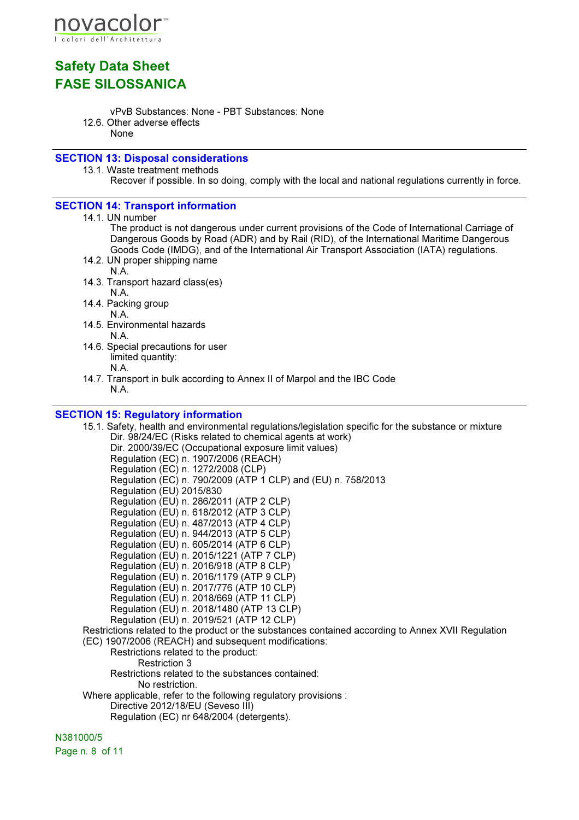

- vPvB Substances: None PBT Substances: None
- 12.6. Other adverse effects

None

### SECTION 13: Disposal considerations

13.1. Waste treatment methods

Recover if possible. In so doing, comply with the local and national regulations currently in force.

### SECTION 14: Transport information

14.1. UN number

The product is not dangerous under current provisions of the Code of International Carriage of Dangerous Goods by Road (ADR) and by Rail (RID), of the International Maritime Dangerous Goods Code (IMDG), and of the International Air Transport Association (IATA) regulations.

- 14.2. UN proper shipping name
	- N.A.
- 14.3. Transport hazard class(es) N.A.

14.4. Packing group

N.A.

- 14.5. Environmental hazards N.A.
- 14.6. Special precautions for user limited quantity: N.A.
- 14.7. Transport in bulk according to Annex II of Marpol and the IBC Code N.A.

### SECTION 15: Regulatory information

- 15.1. Safety, health and environmental regulations/legislation specific for the substance or mixture Dir. 98/24/EC (Risks related to chemical agents at work) Dir. 2000/39/EC (Occupational exposure limit values) Regulation (EC) n. 1907/2006 (REACH) Regulation (EC) n. 1272/2008 (CLP) Regulation (EC) n. 790/2009 (ATP 1 CLP) and (EU) n. 758/2013 Regulation (EU) 2015/830 Regulation (EU) n. 286/2011 (ATP 2 CLP) Regulation (EU) n. 618/2012 (ATP 3 CLP) Regulation (EU) n. 487/2013 (ATP 4 CLP) Regulation (EU) n. 944/2013 (ATP 5 CLP) Regulation (EU) n. 605/2014 (ATP 6 CLP) Regulation (EU) n. 2015/1221 (ATP 7 CLP) Regulation (EU) n. 2016/918 (ATP 8 CLP) Regulation (EU) n. 2016/1179 (ATP 9 CLP) Regulation (EU) n. 2017/776 (ATP 10 CLP) Regulation (EU) n. 2018/669 (ATP 11 CLP) Regulation (EU) n. 2018/1480 (ATP 13 CLP) Regulation (EU) n. 2019/521 (ATP 12 CLP) Restrictions related to the product or the substances contained according to Annex XVII Regulation (EC) 1907/2006 (REACH) and subsequent modifications:
- Restrictions related to the product: Restriction 3 Restrictions related to the substances contained: No restriction. Where applicable, refer to the following regulatory provisions : Directive 2012/18/EU (Seveso III)
	- Regulation (EC) nr 648/2004 (detergents).

N381000/5

Page n. 8 of 11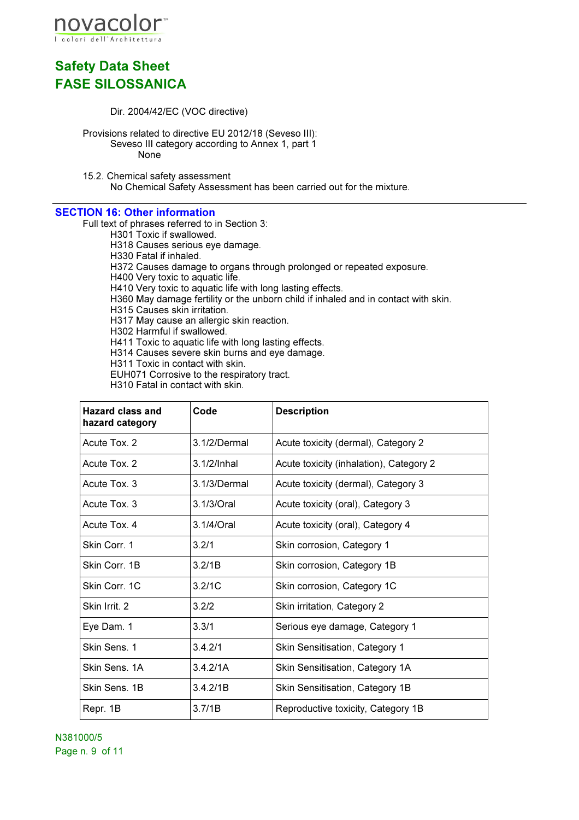

- Dir. 2004/42/EC (VOC directive)
- Provisions related to directive EU 2012/18 (Seveso III): Seveso III category according to Annex 1, part 1 None
- 15.2. Chemical safety assessment No Chemical Safety Assessment has been carried out for the mixture.

### SECTION 16: Other information

Full text of phrases referred to in Section 3:

- H301 Toxic if swallowed.
- H318 Causes serious eye damage.
- H330 Fatal if inhaled.
- H372 Causes damage to organs through prolonged or repeated exposure.
- H400 Very toxic to aquatic life.
- H410 Very toxic to aquatic life with long lasting effects.
- H360 May damage fertility or the unborn child if inhaled and in contact with skin.
- H315 Causes skin irritation.
- H317 May cause an allergic skin reaction.
- H302 Harmful if swallowed.
- H411 Toxic to aquatic life with long lasting effects.
- H314 Causes severe skin burns and eye damage.
- H311 Toxic in contact with skin.
- EUH071 Corrosive to the respiratory tract.
- H310 Fatal in contact with skin.

| <b>Hazard class and</b><br>hazard category | Code           | <b>Description</b>                      |
|--------------------------------------------|----------------|-----------------------------------------|
| Acute Tox. 2                               | 3.1/2/Dermal   | Acute toxicity (dermal), Category 2     |
| Acute Tox. 2                               | $3.1/2$ /Inhal | Acute toxicity (inhalation), Category 2 |
| Acute Tox. 3                               | 3.1/3/Dermal   | Acute toxicity (dermal), Category 3     |
| Acute Tox. 3                               | 3.1/3/Oral     | Acute toxicity (oral), Category 3       |
| Acute Tox, 4                               | 3.1/4/Oral     | Acute toxicity (oral), Category 4       |
| Skin Corr. 1                               | 3.2/1          | Skin corrosion, Category 1              |
| Skin Corr. 1B                              | 3.2/1B         | Skin corrosion, Category 1B             |
| Skin Corr. 1C                              | 3.2/1C         | Skin corrosion, Category 1C             |
| Skin Irrit. 2                              | 3.2/2          | Skin irritation, Category 2             |
| Eye Dam. 1                                 | 3.3/1          | Serious eye damage, Category 1          |
| Skin Sens. 1                               | 3.4.2/1        | Skin Sensitisation, Category 1          |
| Skin Sens. 1A                              | 3.4.2/1A       | Skin Sensitisation, Category 1A         |
| Skin Sens. 1B                              | 3.4.2/1B       | Skin Sensitisation, Category 1B         |
| Repr. 1B                                   | 3.7/1B         | Reproductive toxicity, Category 1B      |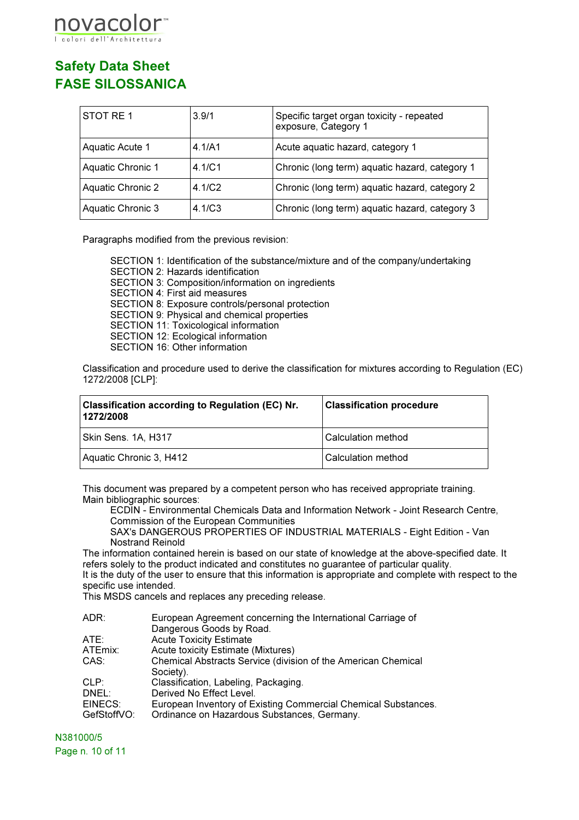

| STOT RE1          | 3.9/1  | Specific target organ toxicity - repeated<br>exposure, Category 1 |
|-------------------|--------|-------------------------------------------------------------------|
| Aquatic Acute 1   | 4.1/A1 | Acute aquatic hazard, category 1                                  |
| Aquatic Chronic 1 | 4.1/C1 | Chronic (long term) aquatic hazard, category 1                    |
| Aquatic Chronic 2 | 4.1/C2 | Chronic (long term) aquatic hazard, category 2                    |
| Aquatic Chronic 3 | 4.1/C3 | Chronic (long term) aquatic hazard, category 3                    |

Paragraphs modified from the previous revision:

SECTION 1: Identification of the substance/mixture and of the company/undertaking SECTION 2: Hazards identification SECTION 3: Composition/information on ingredients SECTION 4: First aid measures SECTION 8: Exposure controls/personal protection SECTION 9: Physical and chemical properties SECTION 11: Toxicological information SECTION 12: Ecological information SECTION 16: Other information

Classification and procedure used to derive the classification for mixtures according to Regulation (EC) 1272/2008 [CLP]:

| <b>Classification according to Regulation (EC) Nr.</b><br>1272/2008 | <b>Classification procedure</b> |
|---------------------------------------------------------------------|---------------------------------|
| Skin Sens. 1A, H317                                                 | Calculation method              |
| Aquatic Chronic 3, H412                                             | Calculation method              |

This document was prepared by a competent person who has received appropriate training. Main bibliographic sources:

ECDIN - Environmental Chemicals Data and Information Network - Joint Research Centre, Commission of the European Communities

SAX's DANGEROUS PROPERTIES OF INDUSTRIAL MATERIALS - Eight Edition - Van Nostrand Reinold

The information contained herein is based on our state of knowledge at the above-specified date. It refers solely to the product indicated and constitutes no guarantee of particular quality.

It is the duty of the user to ensure that this information is appropriate and complete with respect to the specific use intended.

This MSDS cancels and replaces any preceding release.

| ADR:        | European Agreement concerning the International Carriage of    |
|-------------|----------------------------------------------------------------|
|             | Dangerous Goods by Road.                                       |
| ATE:        | <b>Acute Toxicity Estimate</b>                                 |
| ATEmix:     | Acute toxicity Estimate (Mixtures)                             |
| CAS:        | Chemical Abstracts Service (division of the American Chemical  |
|             | Society).                                                      |
| CLP:        | Classification, Labeling, Packaging.                           |
| DNEL:       | Derived No Effect Level.                                       |
| EINECS:     | European Inventory of Existing Commercial Chemical Substances. |
| GefStoffVO: | Ordinance on Hazardous Substances, Germany.                    |
|             |                                                                |

N381000/5 Page n. 10 of 11